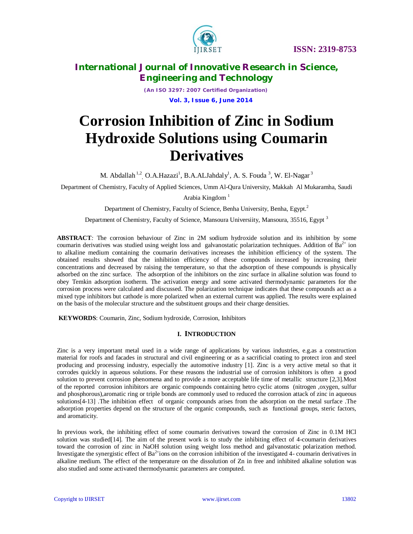

*(An ISO 3297: 2007 Certified Organization)*  **Vol. 3, Issue 6, June 2014**

# **Corrosion Inhibition of Zinc in Sodium Hydroxide Solutions using Coumarin Derivatives**

M. Abdallah $^{1,2}$ , O.A.Hazazi<sup>1</sup>, B.A.ALJahdaly<sup>1</sup>, A. S. Fouda <sup>3</sup>, W. El-Nagar  $^3$ 

Department of Chemistry, Faculty of Applied Sciences, Umm Al-Qura University, Makkah Al Mukaramha, Saudi

Arabia Kingdom $<sup>1</sup>$ </sup>

Department of Chemistry, Faculty of Science, Benha University, Benha, Egypt.<sup>2</sup>

Department of Chemistry, Faculty of Science, Mansoura Universiity, Mansoura, 35516, Egypt<sup>3</sup>

**ABSTRACT***:* The corrosion behaviour of Zinc in 2M sodium hydroxide solution and its inhibition by some coumarin derivatives was studied using weight loss and galvanostatic polarization techniques. Addition of  $Ba^{2+}$  ion to alkaline medium containing the coumarin derivatives increases the inhibition efficiency of the system. The obtained results showed that the inhibition efficiency of these compounds increased by increasing their concentrations and decreased by raising the temperature, so that the adsorption of these compounds is physically adsorbed on the zinc surface. The adsorption of the inhibitors on the zinc surface in alkaline solution was found to obey Temkin adsorption isotherm. The activation energy and some activated thermodynamic parameters for the corrosion process were calculated and discussed. The polarization technique indicates that these compounds act as a mixed type inhibitors but cathode is more polarized when an external current was applied. The results were explained on the basis of the molecular structure and the substituent groups and their charge densities.

**KEYWORDS**: Coumarin, Zinc, Sodium hydroxide, Corrosion, Inhibitors

### **I. INTRODUCTION**

Zinc is a very important metal used in a wide range of applications by various industries, e.g.as a construction material for roofs and facades in structural and civil engineering or as a sacrificial coating to protect iron and steel producing and processing industry, especially the automotive industry [1]. Zinc is a very active metal so that it corrodes quickly in aqueous solutions. For these reasons the industrial use of corrosion inhibitors is often a good solution to prevent corrosion phenomena and to provide a more acceptable life time of metallic structure [2,3].Most of the reported corrosion inhibitors are organic compounds containing hetro cyclic atoms (nitrogen ,oxygen, sulfur and phosphorous),aromatic ring or triple bonds are commonly used to reduced the corrosion attack of zinc in aqueous solutions[4-13] .The inhibition effect of organic compounds arises from the adsorption on the metal surface .The adsorption properties depend on the structure of the organic compounds, such as functional groups, steric factors, and aromaticity.

In previous work, the inhibiting effect of some coumarin derivatives toward the corrosion of Zinc in 0.1M HCl solution was studied[14]. The aim of the present work is to study the inhibiting effect of 4-coumarin derivatives toward the corrosion of zinc in NaOH solution using weight loss method and galvanostatic polarization method. Investigate the synergistic effect of  $Ba^{2+}$ ions on the corrosion inhibition of the investigated 4- coumarin derivatives in alkaline medium. The effect of the temperature on the dissolution of Zn in free and inhibited alkaline solution was also studied and some activated thermodynamic parameters are computed.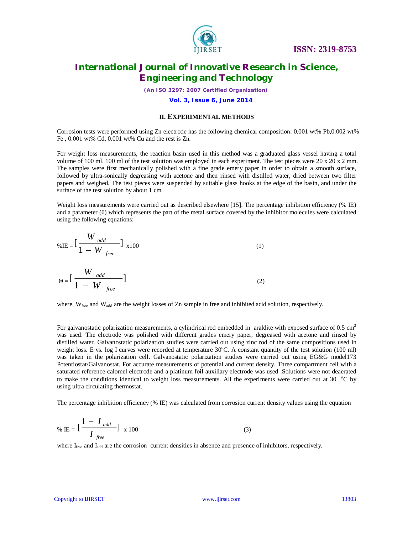

*(An ISO 3297: 2007 Certified Organization)*

 **Vol. 3, Issue 6, June 2014**

### **II. EXPERIMENTAL METHODS**

Corrosion tests were performed using Zn electrode has the following chemical composition: 0.001 wt% Pb,0.002 wt% Fe , 0.001 wt% Cd, 0.001 wt% Cu and the rest is Zn.

For weight loss measurements, the reaction basin used in this method was a graduated glass vessel having a total volume of 100 ml. 100 ml of the test solution was employed in each experiment. The test pieces were 20 x 20 x 2 mm. The samples were first mechanically polished with a fine grade emery paper in order to obtain a smooth surface, followed by ultra-sonically degreasing with acetone and then rinsed with distilled water, dried between two filter papers and weighed. The test pieces were suspended by suitable glass hooks at the edge of the basin, and under the surface of the test solution by about 1 cm.

Weight loss measurements were carried out as described elsewhere [15]. The percentage inhibition efficiency (% IE) and a parameter (θ) which represents the part of the metal surface covered by the inhibitor molecules were calculated using the following equations:

$$
\% \text{IE} = \left[ \frac{W_{add}}{1 - W_{free}} \right]_{x100} \tag{1}
$$
\n
$$
\Theta = \left[ \frac{W_{add}}{1 - W_{free}} \right] \tag{2}
$$

where,  $W_{\text{free}}$  and  $W_{\text{add}}$  are the weight losses of Zn sample in free and inhibited acid solution, respectively.

For galvanostatic polarization measurements, a cylindrical rod embedded in araldite with exposed surface of 0.5 cm<sup>2</sup> was used. The electrode was polished with different grades emery paper, degreased with acetone and rinsed by distilled water. Galvanostatic polarization studies were carried out using zinc rod of the same compositions used in weight loss. E vs. log I curves were recorded at temperature  $30^{\circ}$ C. A constant quantity of the test solution (100 ml) was taken in the polarization cell. Galvanostatic polarization studies were carried out using EG&G model173 Potentiostat/Galvanostat. For accurate measurements of potential and current density. Three compartment cell with a saturated reference calomel electrode and a platinum foil auxiliary electrode was used .Solutions were not deaerated to make the conditions identical to weight loss measurements. All the experiments were carried out at  $30\pm$  °C by using ultra circulating thermostat.

The percentage inhibition efficiency (% IE) was calculated from corrosion current density values using the equation

$$
\% \text{ IE} = \left[\frac{1 - I_{add}}{I_{free}}\right] \times 100 \tag{3}
$$

where I<sub>free</sub> and I<sub>add</sub> are the corrosion current densities in absence and presence of inhibitors, respectively.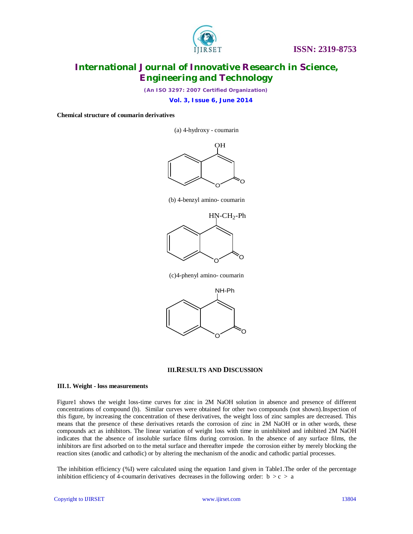

*(An ISO 3297: 2007 Certified Organization)*

 **Vol. 3, Issue 6, June 2014**

### **Chemical structure of coumarin derivatives**

(a) 4-hydroxy - coumarin



(b) 4-benzyl amino- coumarin



(c)4-phenyl amino- coumarin



### **III.RESULTS AND DISCUSSION**

#### **III.1. Weight - loss measurements**

Figure1 shows the weight loss-time curves for zinc in 2M NaOH solution in absence and presence of different concentrations of compound (b). Similar curves were obtained for other two compounds (not shown).Inspection of this figure, by increasing the concentration of these derivatives, the weight loss of zinc samples are decreased. This means that the presence of these derivatives retards the corrosion of zinc in 2M NaOH or in other words, these compounds act as inhibitors. The linear variation of weight loss with time in uninhibited and inhibited 2M NaOH indicates that the absence of insoluble surface films during corrosion. In the absence of any surface films, the inhibitors are first adsorbed on to the metal surface and thereafter impede the corrosion either by merely blocking the reaction sites (anodic and cathodic) or by altering the mechanism of the anodic and cathodic partial processes.

The inhibition efficiency (%I) were calculated using the equation 1and given in Table1.The order of the percentage inhibition efficiency of 4-coumarin derivatives decreases in the following order:  $b > c > a$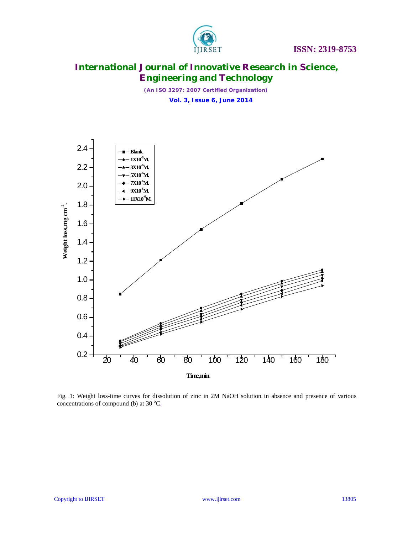

*(An ISO 3297: 2007 Certified Organization)*  **Vol. 3, Issue 6, June 2014**



Fig. 1: Weight loss-time curves for dissolution of zinc in 2M NaOH solution in absence and presence of various concentrations of compound (b) at 30  $^{\circ}$ C.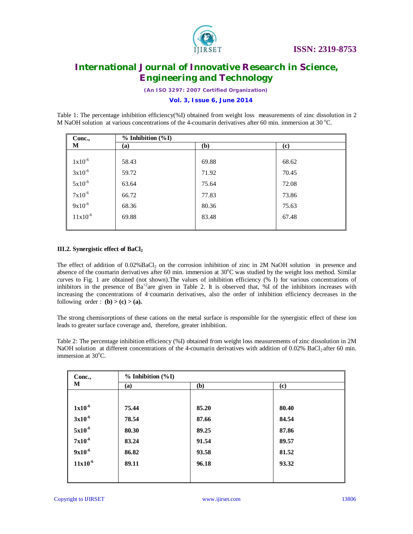

*(An ISO 3297: 2007 Certified Organization)*

### **Vol. 3, Issue 6, June 2014**

Table 1: The percentage inhibition efficiency(%I) obtained from weight loss measurements of zinc dissolution in 2 M NaOH solution at various concentrations of the 4-coumarin derivatives after 60 min. immersion at 30 °C.

| Conc.,                | $% Inhibition (\&0$ |       |       |  |  |
|-----------------------|---------------------|-------|-------|--|--|
| M                     | (a)                 | (b)   | (c)   |  |  |
|                       |                     |       |       |  |  |
| $1x10^{-6}$           | 58.43               | 69.88 | 68.62 |  |  |
| $3x10^{-6}$           | 59.72               | 71.92 | 70.45 |  |  |
| $5x10^{-6}$           | 63.64               | 75.64 | 72.08 |  |  |
| $7 \mathrm{x} 10^{5}$ | 66.72               | 77.83 | 73.86 |  |  |
| $9x10^{-6}$           | 68.36               | 80.36 | 75.63 |  |  |
| $11x10^{-6}$          | 69.88               | 83.48 | 67.48 |  |  |
|                       |                     |       |       |  |  |

### **III.2. Synergistic effect of BaCl<sup>2</sup>**

The effect of addition of 0.02%BaCl<sub>2</sub> on the corrosion inhibition of zinc in 2M NaOH solution in presence and absence of the coumarin derivatives after 60 min. immersion at  $30^{\circ}$ C was studied by the weight loss method. Similar curves to Fig. 1 are obtained (not shown).The values of inhibition efficiency (% I) for various concentrations of inhibitors in the presence of Ba<sup>+2</sup>are given in Table 2. It is observed that, %I of the inhibitors increases with increasing the concentrations of 4-coumarin derivatives, also the order of inhibition efficiency decreases in the following order : **.** 

The strong chemisorptions of these cations on the metal surface is responsible for the synergistic effect of these ion leads to greater surface coverage and, therefore, greater inhibition.

 Table 2: The percentage inhibition efficiency (%I) obtained from weight loss measurements of zinc dissolution in 2M NaOH solution at different concentrations of the 4-coumarin derivatives with addition of 0.02% BaCl2 after 60 min. immersion at  $30^{\circ}$ C.

| Conc.,<br>M  |       | % Inhibition (%I) |       |  |  |  |  |
|--------------|-------|-------------------|-------|--|--|--|--|
|              | (a)   | (b)               | (c)   |  |  |  |  |
|              |       |                   |       |  |  |  |  |
| $1x10^{-6}$  | 75.44 | 85.20             | 80.40 |  |  |  |  |
| $3x10^{-6}$  | 78.54 | 87.66             | 84.54 |  |  |  |  |
| $5x10^{-6}$  | 80.30 | 89.25             | 87.86 |  |  |  |  |
| $7x10^{-6}$  | 83.24 | 91.54             | 89.57 |  |  |  |  |
| $9x10^{-6}$  | 86.82 | 93.58             | 81.52 |  |  |  |  |
| $11x10^{-6}$ | 89.11 | 96.18             | 93.32 |  |  |  |  |
|              |       |                   |       |  |  |  |  |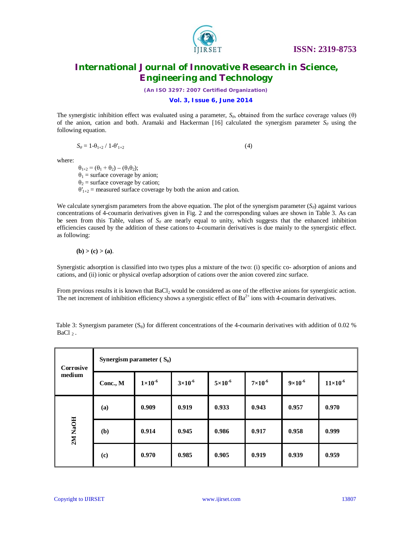

*(An ISO 3297: 2007 Certified Organization)*

### **Vol. 3, Issue 6, June 2014**

The synergistic inhibition effect was evaluated using a parameter, *Sθ*, obtained from the surface coverage values (θ) of the anion, cation and both. Aramaki and Hackerman [16] calculated the synergism parameter  $S_\theta$  using the following equation.

$$
S_{\theta} = 1 - \theta_{1+2} / 1 - \theta_{1+2} \tag{4}
$$

where:

 $\theta_{1+2} = (\theta_1 + \theta_2) - (\theta_1 \theta_2);$  $\theta_1$  = surface coverage by anion;  $\theta_2$  = surface coverage by cation;  $\theta'_{1+2}$  = measured surface coverage by both the anion and cation.

We calculate synergism parameters from the above equation. The plot of the synergism parameter  $(S_\theta)$  against various concentrations of 4-coumarin derivatives given in Fig. 2 and the corresponding values are shown in Table 3. As can be seen from this Table, values of  $S_\theta$  are nearly equal to unity, which suggests that the enhanced inhibition efficiencies caused by the addition of these cationsto 4-coumarin derivatives is due mainly to the synergistic effect. as following:

$$
(b)>(c)>(a).
$$

Synergistic adsorption is classified into two types plus a mixture of the two: (i) specific co- adsorption of anions and cations, and (ii) ionic or physical overlap adsorption of cations over the anion covered zinc surface.

From previous results it is known that BaCl<sub>2</sub> would be considered as one of the effective anions for synergistic action. The net increment of inhibition efficiency shows a synergistic effect of  $Ba^{2+}$  ions with 4-coumarin derivatives.

Table 3: Synergism parameter  $(S_\theta)$  for different concentrations of the 4-coumarin derivatives with addition of 0.02 % BaCl  $_2$ .

| Corrosive<br>medium | Synergism parameter $(S_0)$ |                  |                    |                  |                  |                    |                   |  |
|---------------------|-----------------------------|------------------|--------------------|------------------|------------------|--------------------|-------------------|--|
|                     | Conc., M                    | $1\times10^{-6}$ | $3 \times 10^{-6}$ | $5\times10^{-6}$ | $7\times10^{-6}$ | $9 \times 10^{-6}$ | $11\times10^{-6}$ |  |
| 2M NaOH             | (a)                         | 0.909            | 0.919              | 0.933            | 0.943            | 0.957              | 0.970             |  |
|                     | (b)                         | 0.914            | 0.945              | 0.986            | 0.917            | 0.958              | 0.999             |  |
|                     | $\left( \mathbf{c}\right)$  | 0.970            | 0.985              | 0.905            | 0.919            | 0.939              | 0.959             |  |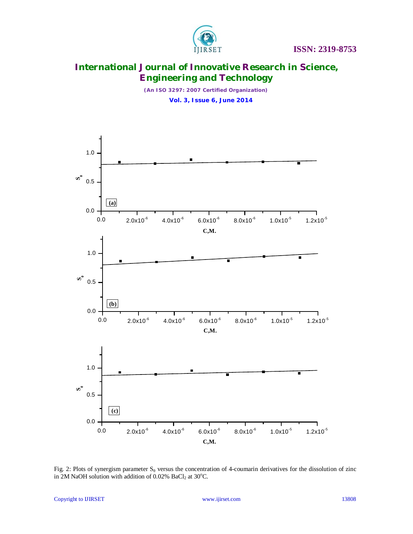

*(An ISO 3297: 2007 Certified Organization)*  **Vol. 3, Issue 6, June 2014**



Fig. 2: Plots of synergism parameter  $S_\theta$  versus the concentration of 4-coumarin derivatives for the dissolution of zinc in 2M NaOH solution with addition of 0.02% BaCl<sub>2</sub> at 30°C.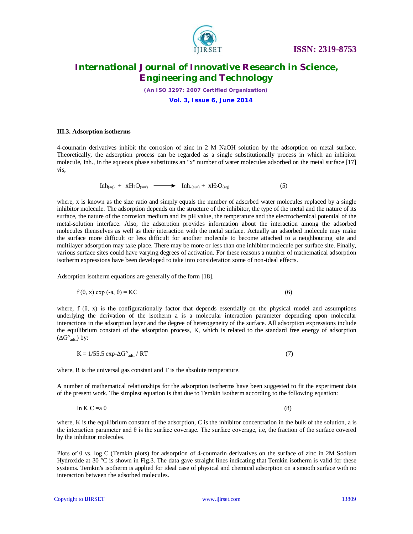

*(An ISO 3297: 2007 Certified Organization)*  **Vol. 3, Issue 6, June 2014**

#### **III.3. Adsorption isotherms**

4-coumarin derivatives inhibit the corrosion of zinc in 2 M NaOH solution by the adsorption on metal surface. Theoretically, the adsorption process can be regarded as a single substitutionally process in which an inhibitor molecule, Inh., in the aqueous phase substitutes an "x" number of water molecules adsorbed on the metal surface [17] vis,

$$
Inh_{(aq)} + xH_2O_{(sur)} \longrightarrow Inh_{(sur)} + xH_2O_{(aq)} \tag{5}
$$

where, x is known as the size ratio and simply equals the number of adsorbed water molecules replaced by a single inhibitor molecule. The adsorption depends on the structure of the inhibitor, the type of the metal and the nature of its surface, the nature of the corrosion medium and its pH value, the temperature and the electrochemical potential of the metal-solution interface. Also, the adsorption provides information about the interaction among the adsorbed molecules themselves as well as their interaction with the metal surface. Actually an adsorbed molecule may make the surface more difficult or less difficult for another molecule to become attached to a neighbouring site and multilayer adsorption may take place. There may be more or less than one inhibitor molecule per surface site. Finally, various surface sites could have varying degrees of activation. For these reasons a number of mathematical adsorption isotherm expressions have been developed to take into consideration some of non-ideal effects.

Adsorption isotherm equations are generally of the form [18].

$$
f(\theta, x) \exp(-a, \theta) = KC \tag{6}
$$

where,  $f(\theta, x)$  is the configurationally factor that depends essentially on the physical model and assumptions underlying the derivation of the isotherm a is a molecular interaction parameter depending upon molecular interactions in the adsorption layer and the degree of heterogeneity of the surface. All adsorption expressions include the equilibrium constant of the adsorption process, K, which is related to the standard free energy of adsorption  $(\Delta G^{\circ}_{ads.})$  by:

$$
K = 1/55.5 \exp{-\Delta G^{\circ}}_{ads.}/RT
$$
 (7)

where, R is the universal gas constant and T is the absolute temperature.

A number of mathematical relationships for the adsorption isotherms have been suggested to fit the experiment data of the present work. The simplest equation is that due to Temkin isotherm according to the following equation:

In K C =  $a \theta$  (8)

where, K is the equilibrium constant of the adsorption, C is the inhibitor concentration in the bulk of the solution, a is the interaction parameter and  $\theta$  is the surface coverage. The surface coverage, i.e, the fraction of the surface covered by the inhibitor molecules.

Plots of θ vs. log C (Temkin plots) for adsorption of 4-coumarin derivatives on the surface of zinc in 2M Sodium Hydroxide at 30  $^{\circ}$ C is shown in Fig.3. The data gave straight lines indicating that Temkin isotherm is valid for these systems. Temkin's isotherm is applied for ideal case of physical and chemical adsorption on a smooth surface with no interaction between the adsorbed molecules.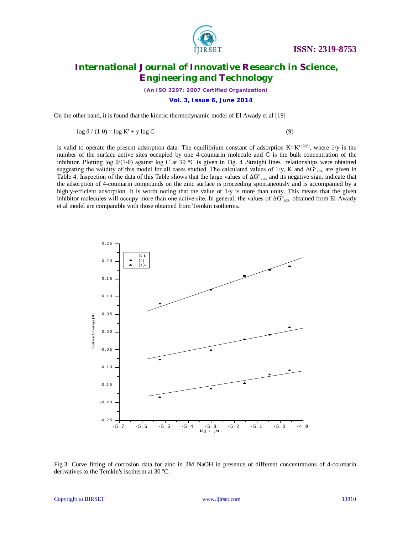

*(An ISO 3297: 2007 Certified Organization)*  **Vol. 3, Issue 6, June 2014**

On the other hand, it is found that the kinetic-thermodynamic model of El Awady et al [19]

 $\log \theta / (1-\theta) = \log K' + y \log C$  (9)

is valid to operate the present adsorption data. The equilibrium constant of adsorption  $K=K'$  (1/y), where 1/y is the number of the surface active sites occupied by one 4-coumarin molecule and C is the bulk concentration of the inhibitor. Plotting log  $\theta/(1-\theta)$  against log C at 30 °C is given in Fig. 4 .Straight lines relationships were obtained suggesting the validity of this model for all cases studied. The calculated values of 1/y, K and ΔG°<sub>ads.</sub> are given in Table 4. Inspection of the data of this Table shows that the large values of  $\Delta G^{\circ}{}_{ads}$  and its negative sign, indicate that the adsorption of 4-coumarin compounds on the zinc surface is proceeding spontaneously and is accompanied by a highly-efficient adsorption. It is worth noting that the value of 1/y is more than unity. This means that the given inhibitor molecules will occupy more than one active site. In general, the values of  $\Delta G^{\circ}$ <sub>ads.</sub> obtained from El-Awady et al model are comparable with those obtained from Temkin isotherms.



Fig.3: Curve fitting of corrosion data for zinc in 2M NaOH in presence of different concentrations of 4-coumarin derivatives to the Temkin's isotherm at  $30^{\circ}$ C.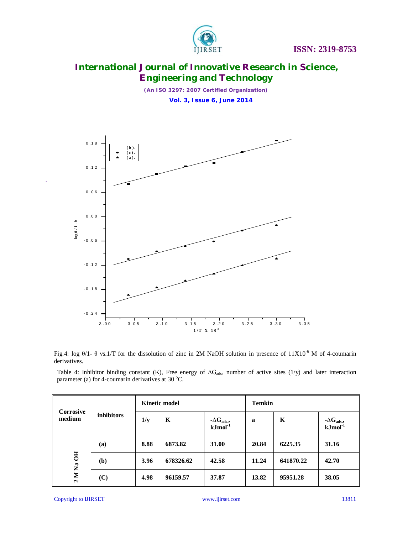

*(An ISO 3297: 2007 Certified Organization)*  **Vol. 3, Issue 6, June 2014**



Fig.4: log θ/1- θ vs.1/T for the dissolution of zinc in 2M NaOH solution in presence of 11X10-6 M of 4-coumarin derivatives.

Table 4: Inhibitor binding constant (K), Free energy of  $\Delta G_{ads}$ , number of active sites (1/y) and later interaction parameter (a) for 4-coumarin derivatives at  $30^{\circ}$ C.

| Corrosive<br>medium | <i>inhibitors</i> | <b>Kinetic model</b> |           |                                           | <b>Temkin</b> |           |                                 |  |
|---------------------|-------------------|----------------------|-----------|-------------------------------------------|---------------|-----------|---------------------------------|--|
|                     |                   | 1/y                  | K         | $-\Delta G_{ads.}$<br>kJmol <sup>-1</sup> | a             | K         | $-\Delta G_{ads.}$<br>$kJmol-1$ |  |
| 2 M Na OH           | (a)               | 8.88                 | 6873.82   | 31.00                                     | 20.84         | 6225.35   | 31.16                           |  |
|                     | ( <b>b</b> )      | 3.96                 | 678326.62 | 42.58                                     | 11.24         | 641870.22 | 42.70                           |  |
|                     | (C)               | 4.98                 | 96159.57  | 37.87                                     | 13.82         | 95951.28  | 38.05                           |  |

Copyright to IJIRSET www.ijirset.com 13811

.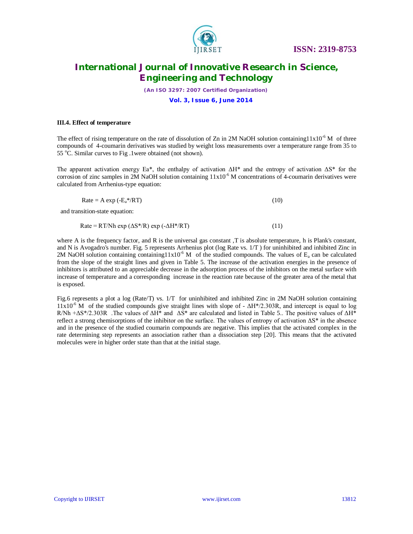

*(An ISO 3297: 2007 Certified Organization)*

### **Vol. 3, Issue 6, June 2014**

#### **III.4. Effect of temperature**

The effect of rising temperature on the rate of dissolution of Zn in 2M NaOH solution containing11x10<sup>-6</sup> M of three compounds of 4-coumarin derivatives was studied by weight loss measurements over a temperature range from 35 to 55 °C. Similar curves to Fig .1were obtained (not shown).

The apparent activation energy Ea<sup>\*</sup>, the enthalpy of activation  $\Delta H^*$  and the entropy of activation  $\Delta S^*$  for the corrosion of zinc samples in 2M NaOH solution containing  $11x10^{-6}$  M concentrations of 4-coumarin derivatives were calculated from Arrhenius-type equation:

| (10) |  |
|------|--|
|      |  |

and transition-state equation:

Rate = RT/Nh exp ( $\Delta S^*/R$ ) exp ( $-\Delta H^*/RT$ ) (11)

where A is the frequency factor, and R is the universal gas constant, T is absolute temperature, h is Plank's constant, and N is Avogadro's number. Fig. 5 represents Arrhenius plot (log Rate vs. 1/T ) for uninhibited and inhibited Zinc in 2M NaOH solution containing containing11x10<sup>-6</sup> M of the studied compounds. The values of  $E_a$  can be calculated from the slope of the straight lines and given in Table 5. The increase of the activation energies in the presence of inhibitors is attributed to an appreciable decrease in the adsorption process of the inhibitors on the metal surface with increase of temperature and a corresponding increase in the reaction rate because of the greater area of the metal that is exposed.

Fig.6 represents a plot a log (Rate/T) vs. 1/T for uninhibited and inhibited Zinc in 2M NaOH solution containing  $11x10^{-6}$  M of the studied compounds give straight lines with slope of -  $\Delta H^{*}/2.303R$ , and intercept is equal to log R/Nh + $\Delta S^*/2.303R$  . The values of  $\Delta H^*$  and  $\Delta S^*$  are calculated and listed in Table 5.. The positive values of  $\Delta H^*$ reflect a strong chemisorptions of the inhibitor on the surface. The values of entropy of activation  $\Delta S^*$  in the absence and in the presence of the studied coumarin compounds are negative. This implies that the activated complex in the rate determining step represents an association rather than a dissociation step [20]. This means that the activated molecules were in higher order state than that at the initial stage.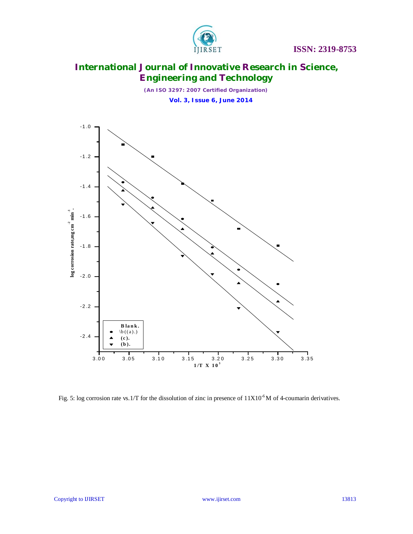

*(An ISO 3297: 2007 Certified Organization)*  **Vol. 3, Issue 6, June 2014**



Fig. 5: log corrosion rate vs.1/T for the dissolution of zinc in presence of  $11X10^{-6}$ M of 4-coumarin derivatives.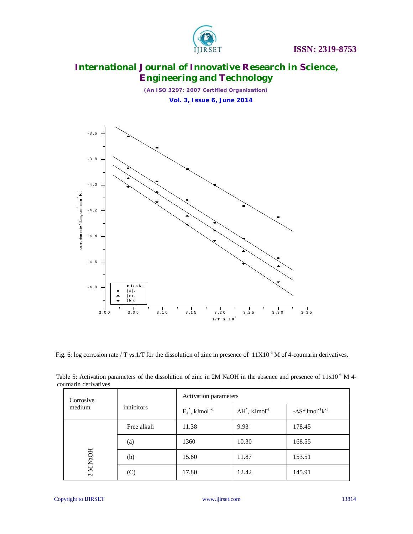

*(An ISO 3297: 2007 Certified Organization)*  **Vol. 3, Issue 6, June 2014**



Fig. 6: log corrosion rate / T vs.1/T for the dissolution of zinc in presence of  $11X10^{-6}$  M of 4-coumarin derivatives.

| uunianii uurivan vuo |             |                               |                                    |                                        |  |  |  |
|----------------------|-------------|-------------------------------|------------------------------------|----------------------------------------|--|--|--|
| Corrosive            |             | Activation parameters         |                                    |                                        |  |  |  |
| medium               | inhibitors  | $E_a^*$ , kJmol <sup>-1</sup> | $\Delta H^*$ , kJmol <sup>-1</sup> | $-\Delta S^* J \text{mol}^{-1} k^{-1}$ |  |  |  |
| M NaOH<br>$\sim$     | Free alkali | 11.38                         | 9.93                               | 178.45                                 |  |  |  |
|                      | (a)         | 1360                          | 10.30                              | 168.55                                 |  |  |  |
|                      | (b)         | 15.60                         | 11.87                              | 153.51                                 |  |  |  |
|                      | (C)         | 17.80                         | 12.42                              | 145.91                                 |  |  |  |

Table 5: Activation parameters of the dissolution of zinc in 2M NaOH in the absence and presence of  $11x10^{-6}$  M 4coumarin derivatives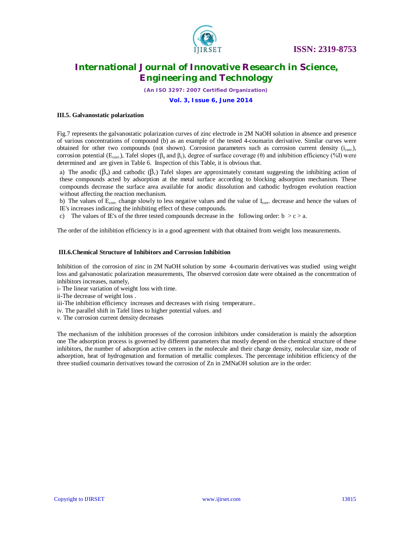

*(An ISO 3297: 2007 Certified Organization)*

#### **Vol. 3, Issue 6, June 2014**

#### **III.5. Galvanostatic polarization**

Fig.7 represents the galvanostatic polarization curves of zinc electrode in 2M NaOH solution in absence and presence of various concentrations of compound (b) as an example of the tested 4-coumarin derivative. Similar curves were obtained for other two compounds (not shown). Corrosion parameters such as corrosion current density  $(i_{\text{corr}})$ , corrosion potential (E<sub>corr.</sub>), Tafel slopes (β<sub>a</sub> and β<sub>c</sub>), degree of surface coverage (θ) and inhibition efficiency (%I) were determined and are given in Table 6. Inspection of this Table, it is obvious that.

a) The anodic ( $\beta_a$ ) and cathodic ( $\beta_c$ ) Tafel slopes are approximately constant suggesting the inhibiting action of these compounds acted by adsorption at the metal surface according to blocking adsorption mechanism. These compounds decrease the surface area available for anodic dissolution and cathodic hydrogen evolution reaction without affecting the reaction mechanism.

b) The values of  $E_{\text{corr}}$  change slowly to less negative values and the value of  $I_{\text{corr}}$  decrease and hence the values of IE's increases indicating the inhibiting effect of these compounds.

c) The values of IE's of the three tested compounds decrease in the following order:  $b > c > a$ .

The order of the inhibition efficiency is in a good agreement with that obtained from weight loss measurements.

#### **III.6.Chemical Structure of Inhibitors and Corrosion Inhibition**

Inhibition of the corrosion of zinc in 2M NaOH solution by some 4-coumarin derivatives was studied using weight loss and galvanostatic polarization measurements, The observed corrosion date were obtained as the concentration of inhibitors increases, namely,

- i- The linear variation of weight loss with time.
- ii-The decrease of weight loss .
- iii-The inhibition efficiency increases and decreases with rising temperature..
- iv. The parallel shift in Tafel lines to higher potential values. and
- v. The corrosion current density decreases

The mechanism of the inhibition processes of the corrosion inhibitors under consideration is mainly the adsorption one The adsorption process is governed by different parameters that mostly depend on the chemical structure of these inhibitors, the number of adsorption active centers in the molecule and their charge density, molecular size, mode of adsorption, heat of hydrogenation and formation of metallic complexes. The percentage inhibition efficiency of the three studied coumarin derivatives toward the corrosion of Zn in 2MNaOH solution are in the order: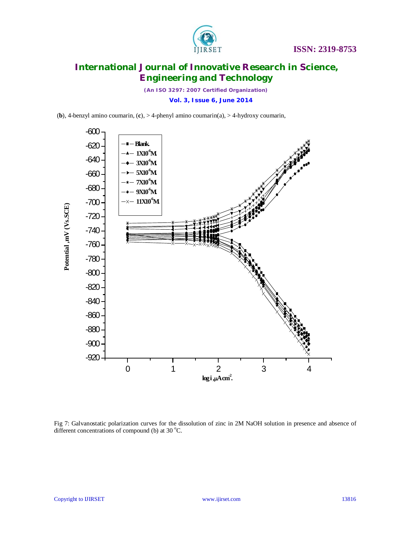

*(An ISO 3297: 2007 Certified Organization)*  **Vol. 3, Issue 6, June 2014**

(**b**), 4-benzyl amino coumarin, (**c**), > 4-phenyl amino coumarin(a), > 4-hydroxy coumarin,



Fig 7: Galvanostatic polarization curves for the dissolution of zinc in 2M NaOH solution in presence and absence of different concentrations of compound (b) at 30  $^{\circ}$ C.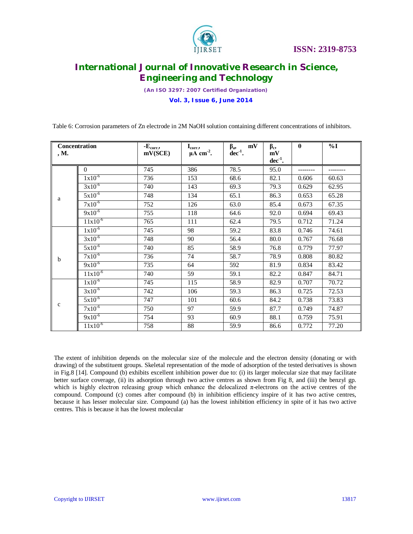

*(An ISO 3297: 2007 Certified Organization)*  **Vol. 3, Issue 6, June 2014**

Table 6: Corrosion parameters of Zn electrode in 2M NaOH solution containing different concentrations of inhibitors.

|             | Concentration | $\textbf{E}_{\rm corr.}$ | $\mathbf{I}_{\text{corr.}},$ | mV<br>$\beta_{\rm a},$ | $\beta_c$          | $\theta$ | $\%$ I |
|-------------|---------------|--------------------------|------------------------------|------------------------|--------------------|----------|--------|
| , M.        |               | mV(SCE)                  | $\mu A$ cm <sup>-2</sup> .   | $dec^{-1}$ .           | mV<br>$dec^{-1}$ . |          |        |
|             | $\mathbf{0}$  | 745                      | 386                          | 78.5                   | 95.0               |          |        |
|             | $1x10^{-6}$   | 736                      | 153                          | 68.6                   | 82.1               | 0.606    | 60.63  |
|             | $3x10^{-6}$   | 740                      | 143                          | 69.3                   | 79.3               | 0.629    | 62.95  |
| a           | $5x10^{-6}$   | 748                      | 134                          | 65.1                   | 86.3               | 0.653    | 65.28  |
|             | $7x10^{-6}$   | 752                      | 126                          | 63.0                   | 85.4               | 0.673    | 67.35  |
|             | $9x10^{-6}$   | 755                      | 118                          | 64.6                   | 92.0               | 0.694    | 69.43  |
|             | $11x10^{-6}$  | 765                      | 111                          | 62.4                   | 79.5               | 0.712    | 71.24  |
|             | $1x10^{-6}$   | 745                      | 98                           | 59.2                   | 83.8               | 0.746    | 74.61  |
|             | $3x10^{-6}$   | 748                      | 90                           | 56.4                   | 80.0               | 0.767    | 76.68  |
|             | $5x10^{-6}$   | 740                      | 85                           | 58.9                   | 76.8               | 0.779    | 77.97  |
| b           | $7x10^{-6}$   | 736                      | 74                           | 58.7                   | 78.9               | 0.808    | 80.82  |
|             | $9x10^{-6}$   | 735                      | 64                           | 592                    | 81.9               | 0.834    | 83.42  |
|             | $11x10^{-6}$  | 740                      | 59                           | 59.1                   | 82.2               | 0.847    | 84.71  |
|             | $1x10^{-6}$   | 745                      | 115                          | 58.9                   | 82.9               | 0.707    | 70.72  |
|             | $3x10^{-6}$   | 742                      | 106                          | 59.3                   | 86.3               | 0.725    | 72.53  |
|             | $5x10^{-6}$   | 747                      | 101                          | 60.6                   | 84.2               | 0.738    | 73.83  |
| $\mathbf c$ | $7x10^{-6}$   | 750                      | 97                           | 59.9                   | 87.7               | 0.749    | 74.87  |
|             | $9x10^{-6}$   | 754                      | 93                           | 60.9                   | 88.1               | 0.759    | 75.91  |
|             | $11x10^{-6}$  | 758                      | 88                           | 59.9                   | 86.6               | 0.772    | 77.20  |

The extent of inhibition depends on the molecular size of the molecule and the electron density (donating or with drawing) of the substituent groups. Skeletal representation of the mode of adsorption of the tested derivatives is shown in Fig.8 [14]. Compound (b) exhibits excellent inhibition power due to: (i) its larger molecular size that may facilitate better surface coverage, (ii) its adsorption through two active centres as shown from Fig 8, and (iii) the benzyl gp. which is highly electron releasing group which enhance the delocalized π-electrons on the active centres of the compound. Compound (c) comes after compound (b) in inhibition efficiency inspire of it has two active centres, because it has lesser molecular size. Compound (a) has the lowest inhibition efficiency in spite of it has two active centres. This is because it has the lowest molecular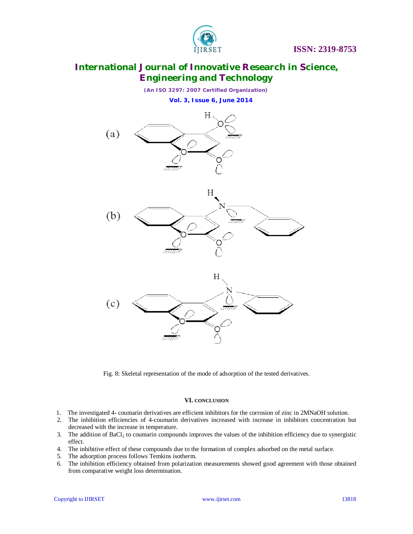

*(An ISO 3297: 2007 Certified Organization)*  **Vol. 3, Issue 6, June 2014**



Fig. 8: Skeletal representation of the mode of adsorption of the tested derivatives.

### **VI. CONCLUSION**

- 1. The investigated 4- coumarin derivatives are efficient inhibitors for the corrosion of zinc in 2MNaOH solution.
- 2. The inhibition efficiencies of 4-coumarin derivatives increased with increase in inhibitors concentration but decreased with the increase in temperature.
- 3. The addition of  $BaCl<sub>2</sub>$  to coumarin compounds improves the values of the inhibition efficiency due to synergistic effect.
- 4. The inhibitive effect of these compounds due to the formation of complex adsorbed on the metal surface.
- 5. The adsorption process follows Temkins isotherm.
- 6. The inhibition efficiency obtained from polarization measurements showed good agreement with those obtained from comparative weight loss determination.